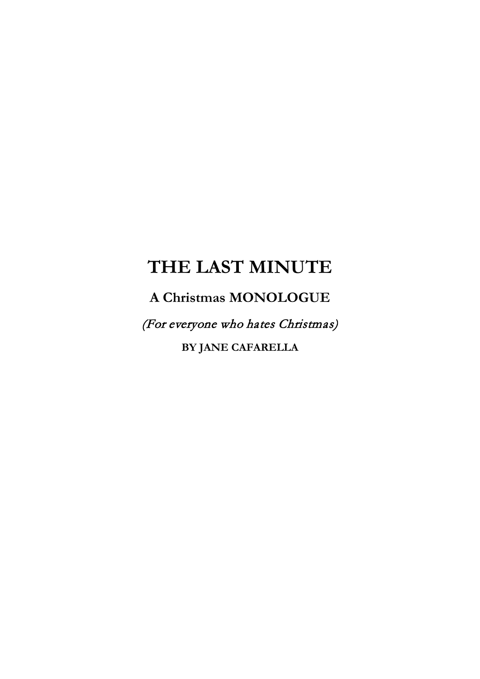## **THE LAST MINUTE**

**A Christmas MONOLOGUE**

(For everyone who hates Christmas)

**BY JANE CAFARELLA**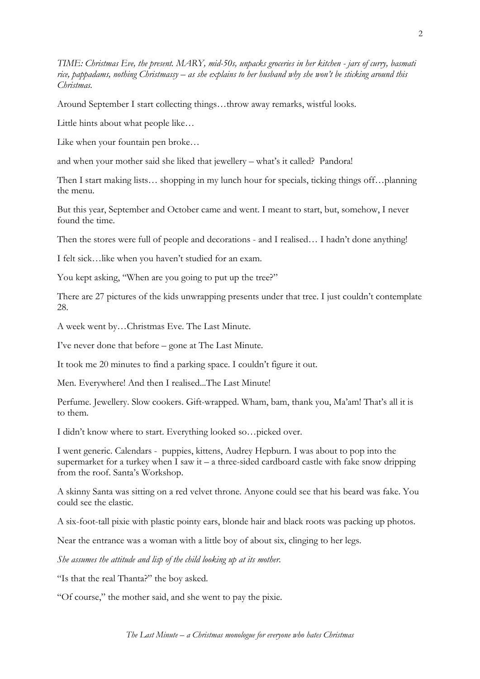*TIME: Christmas Eve, the present. MARY, mid-50s, unpacks groceries in her kitchen - jars of curry, basmati rice, pappadams, nothing Christmassy – as she explains to her husband why she won't be sticking around this Christmas.*

Around September I start collecting things…throw away remarks, wistful looks.

Little hints about what people like…

Like when your fountain pen broke…

and when your mother said she liked that jewellery – what's it called? Pandora!

Then I start making lists... shopping in my lunch hour for specials, ticking things off...planning the menu.

But this year, September and October came and went. I meant to start, but, somehow, I never found the time.

Then the stores were full of people and decorations - and I realised… I hadn't done anything!

I felt sick…like when you haven't studied for an exam.

You kept asking, "When are you going to put up the tree?"

There are 27 pictures of the kids unwrapping presents under that tree. I just couldn't contemplate 28.

A week went by…Christmas Eve. The Last Minute.

I've never done that before – gone at The Last Minute.

It took me 20 minutes to find a parking space. I couldn't figure it out.

Men. Everywhere! And then I realised...The Last Minute!

Perfume. Jewellery. Slow cookers. Gift-wrapped. Wham, bam, thank you, Ma'am! That's all it is to them.

I didn't know where to start. Everything looked so…picked over.

I went generic. Calendars - puppies, kittens, Audrey Hepburn. I was about to pop into the supermarket for a turkey when I saw it – a three-sided cardboard castle with fake snow dripping from the roof. Santa's Workshop.

A skinny Santa was sitting on a red velvet throne. Anyone could see that his beard was fake. You could see the elastic.

A six-foot-tall pixie with plastic pointy ears, blonde hair and black roots was packing up photos.

Near the entrance was a woman with a little boy of about six, clinging to her legs.

*She assumes the attitude and lisp of the child looking up at its mother.*

"Is that the real Thanta?" the boy asked.

"Of course," the mother said, and she went to pay the pixie.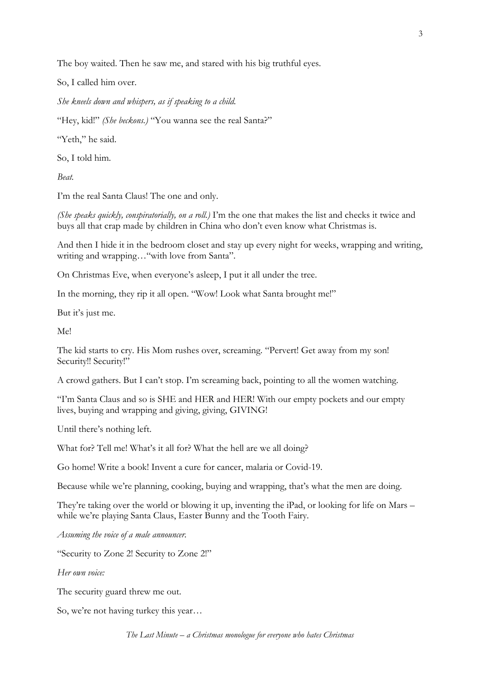The boy waited. Then he saw me, and stared with his big truthful eyes.

So, I called him over.

*She kneels down and whispers, as if speaking to a child.*

"Hey, kid!" *(She beckons.)* "You wanna see the real Santa?"

"Yeth," he said.

So, I told him.

*Beat.*

I'm the real Santa Claus! The one and only.

*(She speaks quickly, conspiratorially, on a roll.)* I'm the one that makes the list and checks it twice and buys all that crap made by children in China who don't even know what Christmas is.

And then I hide it in the bedroom closet and stay up every night for weeks, wrapping and writing, writing and wrapping…"with love from Santa".

On Christmas Eve, when everyone's asleep, I put it all under the tree.

In the morning, they rip it all open. "Wow! Look what Santa brought me!"

But it's just me.

Me!

The kid starts to cry. His Mom rushes over, screaming. "Pervert! Get away from my son! Security!! Security!"

A crowd gathers. But I can't stop. I'm screaming back, pointing to all the women watching.

"I'm Santa Claus and so is SHE and HER and HER! With our empty pockets and our empty lives, buying and wrapping and giving, giving, GIVING!

Until there's nothing left.

What for? Tell me! What's it all for? What the hell are we all doing?

Go home! Write a book! Invent a cure for cancer, malaria or Covid-19.

Because while we're planning, cooking, buying and wrapping, that's what the men are doing.

They're taking over the world or blowing it up, inventing the iPad, or looking for life on Mars – while we're playing Santa Claus, Easter Bunny and the Tooth Fairy.

*Assuming the voice of a male announcer.*

"Security to Zone 2! Security to Zone 2!"

*Her own voice:*

The security guard threw me out.

So, we're not having turkey this year…